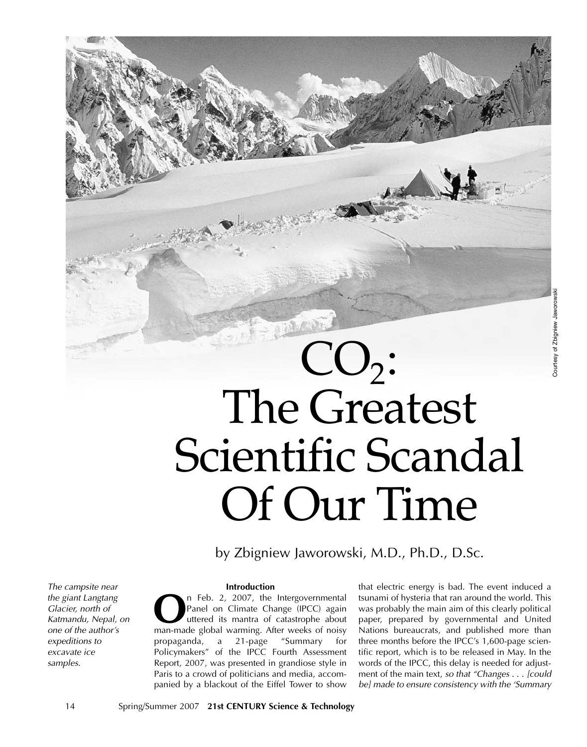# - Ally Copy  $CO<sub>2</sub>$ : The Greatest Scientific Scandal Of Our Time

by Zbigniew Jaworowski, M.D., Ph.D., D.Sc.

The campsite near the giant Langtang Glacier, north of Katmandu, Nepal, on one of the author's expeditions to excavate ice samples.

## **Introduction**

**O**n Feb. 2, 2007, the Intergovernmental<br>Panel on Climate Change (IPCC) again<br>uttered its mantra of catastrophe about<br>man-made global warming. After weeks of noisy Panel on Climate Change (IPCC) again uttered its mantra of catastrophe about man-made global warming. After weeks of noisy propaganda, a 21-page "Summary for Policymakers" of the IPCC Fourth Assessment Report, 2007, was presented in grandiose style in Paris to a crowd of politicians and media, accompanied by a blackout of the Eiffel Tower to show

that electric energy is bad. The event induced a tsunami of hysteria that ran around the world. This was probably the main aim of this clearly political paper, prepared by governmental and United Nations bureaucrats, and published more than three months before the IPCC's 1,600-page scientific report, which is to be released in May. In the words of the IPCC, this delay is needed for adjustment of the main text, so that "Changes . . . [could be] made to ensure consistency with the 'Summary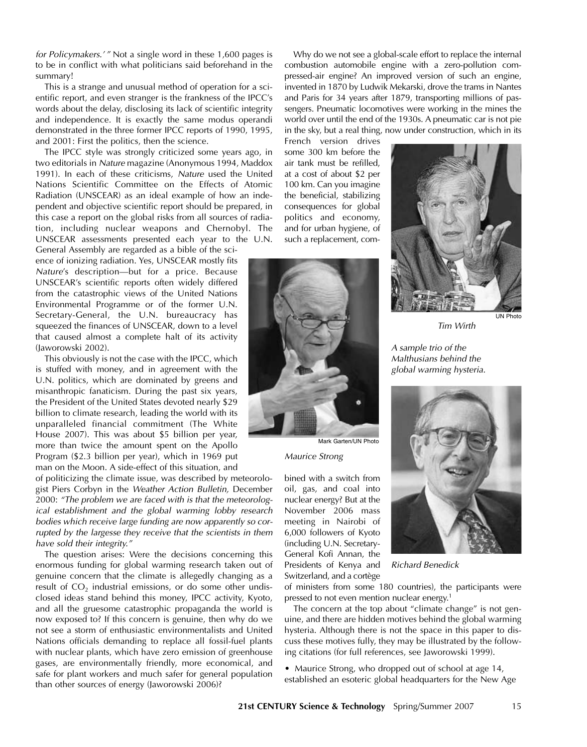for Policymakers.' " Not a single word in these 1,600 pages is to be in conflict with what politicians said beforehand in the summary!

This is a strange and unusual method of operation for a scientific report, and even stranger is the frankness of the IPCC's words about the delay, disclosing its lack of scientific integrity and independence. It is exactly the same modus operandi demonstrated in the three former IPCC reports of 1990, 1995, and 2001: First the politics, then the science.

The IPCC style was strongly criticized some years ago, in two editorials in Nature magazine (Anonymous 1994, Maddox 1991). In each of these criticisms, Nature used the United Nations Scientific Committee on the Effects of Atomic Radiation (UNSCEAR) as an ideal example of how an independent and objective scientific report should be prepared, in this case a report on the global risks from all sources of radiation, including nuclear weapons and Chernobyl. The UNSCEAR assessments presented each year to the U.N. General Assembly are regarded as a bible of the sci-

ence of ionizing radiation. Yes, UNSCEAR mostly fits Nature's description—but for a price. Because UNSCEAR's scientific reports often widely differed from the catastrophic views of the United Nations Environmental Programme or of the former U.N. Secretary-General, the U.N. bureaucracy has squeezed the finances of UNSCEAR, down to a level that caused almost a complete halt of its activity (Jaworowski 2002).

This obviously is not the case with the IPCC, which is stuffed with money, and in agreement with the U.N. politics, which are dominated by greens and misanthropic fanaticism. During the past six years, the President of the United States devoted nearly \$29 billion to climate research, leading the world with its unparalleled financial commitment (The White House 2007). This was about \$5 billion per year, more than twice the amount spent on the Apollo Program (\$2.3 billion per year), which in 1969 put man on the Moon. A side-effect of this situation, and

of politicizing the climate issue, was described by meteorologist Piers Corbyn in the Weather Action Bulletin, December 2000: "The problem we are faced with is that the meteorological establishment and the global warming lobby research bodies which receive large funding are now apparently so corrupted by the largesse they receive that the scientists in them have sold their integrity."

The question arises: Were the decisions concerning this enormous funding for global warming research taken out of genuine concern that the climate is allegedly changing as a result of  $CO<sub>2</sub>$  industrial emissions, or do some other undisclosed ideas stand behind this money, IPCC activity, Kyoto, and all the gruesome catastrophic propaganda the world is now exposed to? If this concern is genuine, then why do we not see a storm of enthusiastic environmentalists and United Nations officials demanding to replace all fossil-fuel plants with nuclear plants, which have zero emission of greenhouse gases, are environmentally friendly, more economical, and safe for plant workers and much safer for general population than other sources of energy (Jaworowski 2006)?

Why do we not see a global-scale effort to replace the internal combustion automobile engine with a zero-pollution compressed-air engine? An improved version of such an engine, invented in 1870 by Ludwik Mekarski, drove the trams in Nantes and Paris for 34 years after 1879, transporting millions of passengers. Pneumatic locomotives were working in the mines the world over until the end of the 1930s. A pneumatic car is not pie in the sky, but a real thing, now under construction, which in its

French version drives some 300 km before the air tank must be refilled, at a cost of about \$2 per 100 km. Can you imagine the beneficial, stabilizing consequences for global politics and economy, and for urban hygiene, of such a replacement, com-



Mark Garten/UN Photo

Maurice Strong

bined with a switch from oil, gas, and coal into nuclear energy? But at the November 2006 mass meeting in Nairobi of 6,000 followers of Kyoto (including U.N. Secretary-General Kofi Annan, the Presidents of Kenya and Switzerland, and a cortège



Tim Wirth

UN Photo

<sup>A</sup> sample trio of the Malthusians behind the global warming hysteria.



Richard Benedick

of ministers from some 180 countries), the participants were pressed to not even mention nuclear energy.<sup>1</sup>

The concern at the top about "climate change" is not genuine, and there are hidden motives behind the global warming hysteria. Although there is not the space in this paper to discuss these motives fully, they may be illustrated by the following citations (for full references, see Jaworowski 1999).

• Maurice Strong, who dropped out of school at age 14, established an esoteric global headquarters for the New Age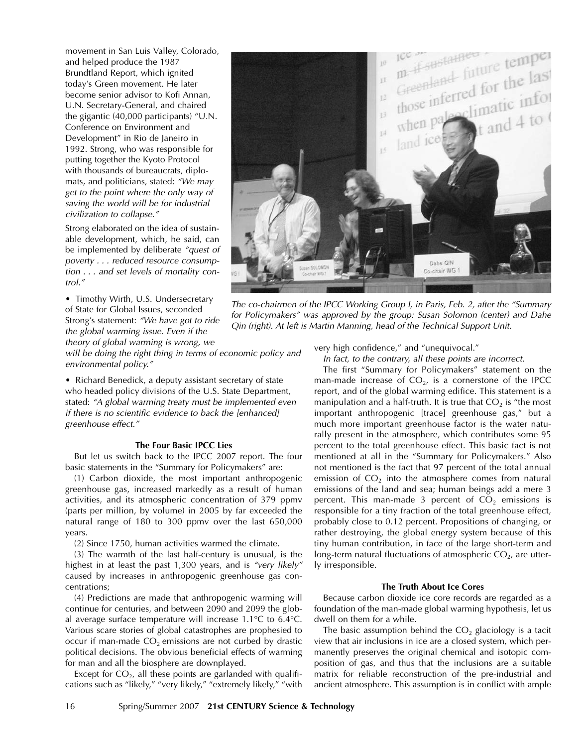movement in San Luis Valley, Colorado, and helped produce the 1987 Brundtland Report, which ignited today's Green movement. He later become senior advisor to Kofi Annan, U.N. Secretary-General, and chaired the gigantic (40,000 participants) "U.N. Conference on Environment and Development" in Rio de Janeiro in 1992. Strong, who was responsible for putting together the Kyoto Protocol with thousands of bureaucrats, diplomats, and politicians, stated: "We may get to the point where the only way of saving the world will be for industrial civilization to collapse."

Strong elaborated on the idea of sustainable development, which, he said, can be implemented by deliberate "quest of poverty . . . reduced resource consumption . . . and set levels of mortality control."

• Timothy Wirth, U.S. Undersecretary of State for Global Issues, seconded Strong's statement: "We have got to ride the global warming issue. Even if the

theory of global warming is wrong, we

will be doing the right thing in terms of economic policy and environmental policy."

• Richard Benedick, a deputy assistant secretary of state who headed policy divisions of the U.S. State Department, stated: "A global warming treaty must be implemented even if there is no scientific evidence to back the [enhanced] greenhouse effect."

## **The Four Basic IPCC Lies**

But let us switch back to the IPCC 2007 report. The four basic statements in the "Summary for Policymakers" are:

(1) Carbon dioxide, the most important anthropogenic greenhouse gas, increased markedly as a result of human activities, and its atmospheric concentration of 379 ppmv (parts per million, by volume) in 2005 by far exceeded the natural range of 180 to 300 ppmv over the last 650,000 years.

(2) Since 1750, human activities warmed the climate.

(3) The warmth of the last half-century is unusual, is the highest in at least the past 1,300 years, and is "very likely" caused by increases in anthropogenic greenhouse gas concentrations;

(4) Predictions are made that anthropogenic warming will continue for centuries, and between 2090 and 2099 the global average surface temperature will increase 1.1°C to 6.4°C. Various scare stories of global catastrophes are prophesied to occur if man-made  $CO<sub>2</sub>$  emissions are not curbed by drastic political decisions. The obvious beneficial effects of warming for man and all the biosphere are downplayed.

Except for  $CO<sub>2</sub>$ , all these points are garlanded with qualifications such as "likely," "very likely," "extremely likely," "with



The co-chairmen of the IPCC Working Group I, in Paris, Feb. 2, after the "Summary for Policymakers" was approved by the group: Susan Solomon (center) and Dahe Qin (right). At left is Martin Manning, head of the Technical Support Unit.

very high confidence," and "unequivocal."

In fact, to the contrary, all these points are incorrect.

The first "Summary for Policymakers" statement on the man-made increase of  $CO<sub>2</sub>$ , is a cornerstone of the IPCC report, and of the global warming edifice. This statement is a manipulation and a half-truth. It is true that  $CO<sub>2</sub>$  is "the most important anthropogenic [trace] greenhouse gas," but a much more important greenhouse factor is the water naturally present in the atmosphere, which contributes some 95 percent to the total greenhouse effect. This basic fact is not mentioned at all in the "Summary for Policymakers." Also not mentioned is the fact that 97 percent of the total annual emission of  $CO<sub>2</sub>$  into the atmosphere comes from natural emissions of the land and sea; human beings add a mere 3 percent. This man-made 3 percent of  $CO<sub>2</sub>$  emissions is responsible for a tiny fraction of the total greenhouse effect, probably close to 0.12 percent. Propositions of changing, or rather destroying, the global energy system because of this tiny human contribution, in face of the large short-term and long-term natural fluctuations of atmospheric  $CO<sub>2</sub>$ , are utterly irresponsible.

## **The Truth About Ice Cores**

Because carbon dioxide ice core records are regarded as a foundation of the man-made global warming hypothesis, let us dwell on them for a while.

The basic assumption behind the  $CO<sub>2</sub>$  glaciology is a tacit view that air inclusions in ice are a closed system, which permanently preserves the original chemical and isotopic composition of gas, and thus that the inclusions are a suitable matrix for reliable reconstruction of the pre-industrial and ancient atmosphere. This assumption is in conflict with ample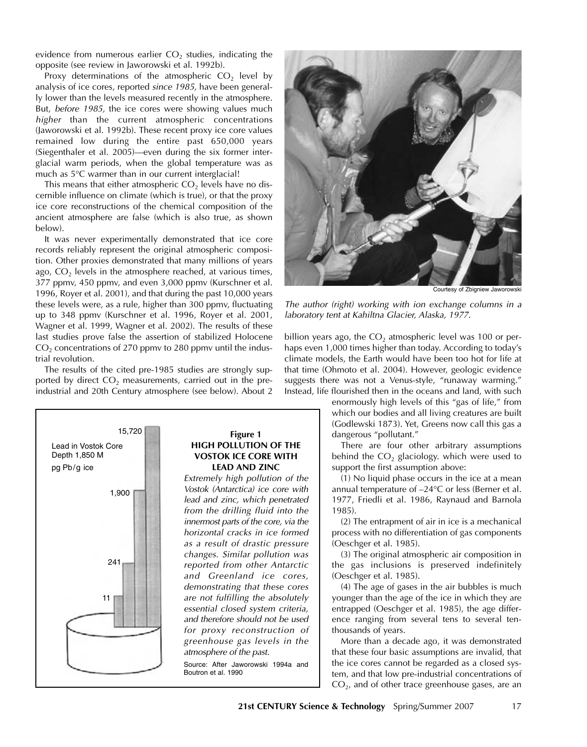evidence from numerous earlier  $CO<sub>2</sub>$  studies, indicating the opposite (see review in Jaworowski et al. 1992b).

Proxy determinations of the atmospheric  $CO<sub>2</sub>$  level by analysis of ice cores, reported since 1985, have been generally lower than the levels measured recently in the atmosphere. But, before 1985, the ice cores were showing values much higher than the current atmospheric concentrations (Jaworowski et al. 1992b). These recent proxy ice core values remained low during the entire past 650,000 years (Siegenthaler et al. 2005)—even during the six former interglacial warm periods, when the global temperature was as much as 5°C warmer than in our current interglacial!

This means that either atmospheric  $CO<sub>2</sub>$  levels have no discernible influence on climate (which is true), or that the proxy ice core reconstructions of the chemical composition of the ancient atmosphere are false (which is also true, as shown below).

It was never experimentally demonstrated that ice core records reliably represent the original atmospheric composition. Other proxies demonstrated that many millions of years ago,  $CO<sub>2</sub>$  levels in the atmosphere reached, at various times, 377 ppmv, 450 ppmv, and even 3,000 ppmv (Kurschner et al. 1996, Royer et al. 2001), and that during the past 10,000 years these levels were, as a rule, higher than 300 ppmv, fluctuating up to 348 ppmv (Kurschner et al. 1996, Royer et al. 2001, Wagner et al. 1999, Wagner et al. 2002). The results of these last studies prove false the assertion of stabilized Holocene  $CO<sub>2</sub>$  concentrations of 270 ppmv to 280 ppmv until the industrial revolution.

The results of the cited pre-1985 studies are strongly supported by direct  $CO<sub>2</sub>$  measurements, carried out in the preindustrial and 20th Century atmosphere (see below). About 2





Courtesy of Zbigniew Jawo

The author (right) working with ion exchange columns in a laboratory tent at Kahiltna Glacier, Alaska, 1977.

billion years ago, the  $CO<sub>2</sub>$  atmospheric level was 100 or perhaps even 1,000 times higher than today. According to today's climate models, the Earth would have been too hot for life at that time (Ohmoto et al. 2004). However, geologic evidence suggests there was not a Venus-style, "runaway warming." Instead, life flourished then in the oceans and land, with such

> enormously high levels of this "gas of life," from which our bodies and all living creatures are built (Godlewski 1873). Yet, Greens now call this gas a dangerous "pollutant."

> There are four other arbitrary assumptions behind the  $CO<sub>2</sub>$  glaciology. which were used to support the first assumption above:

> (1) No liquid phase occurs in the ice at a mean annual temperature of –24°C or less (Berner et al. 1977, Friedli et al. 1986, Raynaud and Barnola 1985).

> (2) The entrapment of air in ice is a mechanical process with no differentiation of gas components (Oeschger et al. 1985).

> (3) The original atmospheric air composition in the gas inclusions is preserved indefinitely (Oeschger et al. 1985).

> (4) The age of gases in the air bubbles is much younger than the age of the ice in which they are entrapped (Oeschger et al. 1985), the age difference ranging from several tens to several tenthousands of years.

> More than a decade ago, it was demonstrated that these four basic assumptions are invalid, that the ice cores cannot be regarded as a closed system, and that low pre-industrial concentrations of  $CO<sub>2</sub>$ , and of other trace greenhouse gases, are an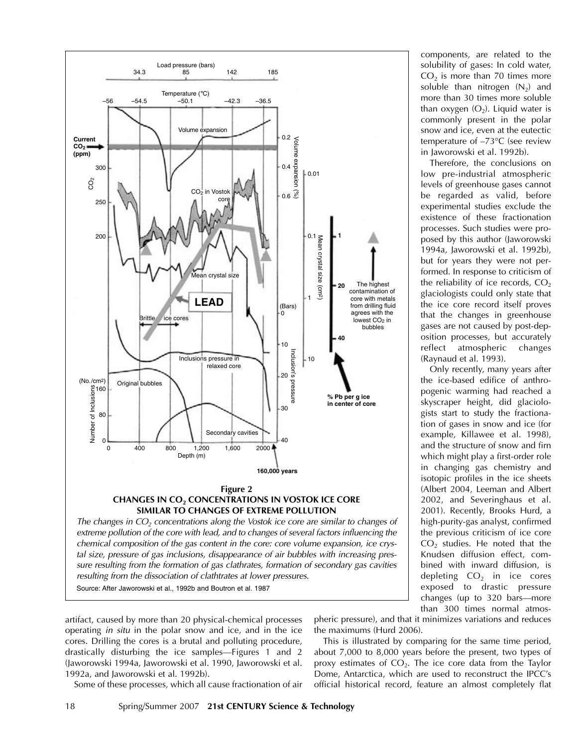

chemical composition of the gas content in the core: core volume expansion, ice crystal size, pressure of gas inclusions, disappearance of air bubbles with increasing pressure resulting from the formation of gas clathrates, formation of secondary gas cavities resulting from the dissociation of clathtrates at lower pressures. Source: After Jaworowski et al., 1992b and Boutron et al. 1987

artifact, caused by more than 20 physical-chemical processes operating in situ in the polar snow and ice, and in the ice cores. Drilling the cores is a brutal and polluting procedure, drastically disturbing the ice samples—Figures 1 and 2 (Jaworowski 1994a, Jaworowski et al. 1990, Jaworowski et al. 1992a, and Jaworowski et al. 1992b).

Some of these processes, which all cause fractionation of air

pheric pressure), and that it minimizes variations and reduces the maximums (Hurd 2006).

This is illustrated by comparing for the same time period, about 7,000 to 8,000 years before the present, two types of proxy estimates of  $CO<sub>2</sub>$ . The ice core data from the Taylor Dome, Antarctica, which are used to reconstruct the IPCC's official historical record, feature an almost completely flat

components, are related to the solubility of gases: In cold water,  $CO<sub>2</sub>$  is more than 70 times more soluble than nitrogen  $(N_2)$  and more than 30 times more soluble than oxygen  $(O_2)$ . Liquid water is commonly present in the polar snow and ice, even at the eutectic temperature of –73°C (see review in Jaworowski et al. 1992b).

Therefore, the conclusions on low pre-industrial atmospheric levels of greenhouse gases cannot be regarded as valid, before experimental studies exclude the existence of these fractionation processes. Such studies were proposed by this author (Jaworowski 1994a, Jaworowski et al. 1992b), but for years they were not performed. In response to criticism of the reliability of ice records,  $CO<sub>2</sub>$ glaciologists could only state that the ice core record itself proves that the changes in greenhouse gases are not caused by post-deposition processes, but accurately reflect atmospheric changes (Raynaud et al. 1993).

Only recently, many years after the ice-based edifice of anthropogenic warming had reached a skyscraper height, did glaciologists start to study the fractionation of gases in snow and ice (for example, Killawee et al. 1998), and the structure of snow and firn which might play a first-order role in changing gas chemistry and isotopic profiles in the ice sheets (Albert 2004, Leeman and Albert 2002, and Severinghaus et al. 2001). Recently, Brooks Hurd, a high-purity-gas analyst, confirmed the previous criticism of ice core  $CO<sub>2</sub>$  studies. He noted that the Knudsen diffusion effect, combined with inward diffusion, is depleting  $CO<sub>2</sub>$  in ice cores exposed to drastic pressure changes (up to 320 bars—more than 300 times normal atmos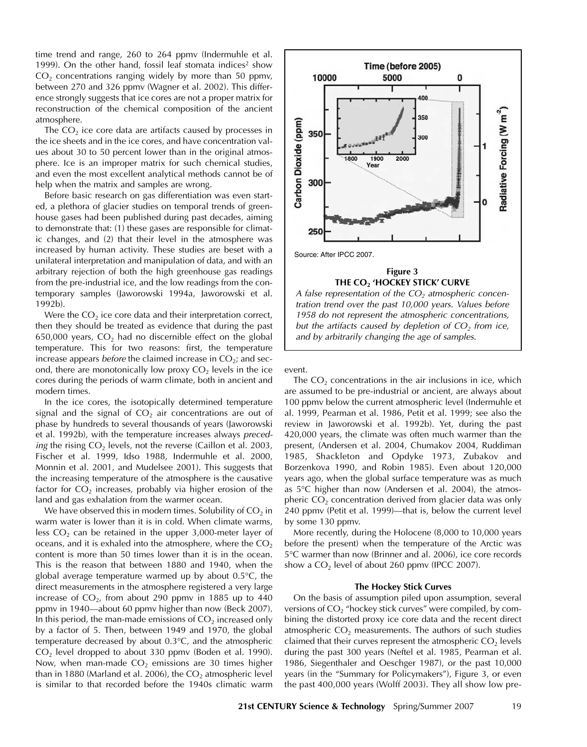time trend and range, 260 to 264 ppmv (Indermuhle et al. 1999). On the other hand, fossil leaf stomata indices<sup>2</sup> show  $CO<sub>2</sub>$  concentrations ranging widely by more than 50 ppmv, between 270 and 326 ppmv (Wagner et al. 2002). This difference strongly suggests that ice cores are not a proper matrix for reconstruction of the chemical composition of the ancient atmosphere.

The  $CO<sub>2</sub>$  ice core data are artifacts caused by processes in the ice sheets and in the ice cores, and have concentration values about 30 to 50 percent lower than in the original atmosphere. Ice is an improper matrix for such chemical studies, and even the most excellent analytical methods cannot be of help when the matrix and samples are wrong.

Before basic research on gas differentiation was even started, a plethora of glacier studies on temporal trends of greenhouse gases had been published during past decades, aiming to demonstrate that: (1) these gases are responsible for climatic changes, and (2) that their level in the atmosphere was increased by human activity. These studies are beset with a unilateral interpretation and manipulation of data, and with an arbitrary rejection of both the high greenhouse gas readings from the pre-industrial ice, and the low readings from the contemporary samples (Jaworowski 1994a, Jaworowski et al. 1992b).

Were the  $CO<sub>2</sub>$  ice core data and their interpretation correct, then they should be treated as evidence that during the past 650,000 years,  $CO<sub>2</sub>$  had no discernible effect on the global temperature. This for two reasons: first, the temperature increase appears before the claimed increase in  $CO<sub>2</sub>$ ; and second, there are monotonically low proxy  $CO<sub>2</sub>$  levels in the ice cores during the periods of warm climate, both in ancient and modern times.

In the ice cores, the isotopically determined temperature signal and the signal of  $CO<sub>2</sub>$  air concentrations are out of phase by hundreds to several thousands of years (Jaworowski et al. 1992b), with the temperature increases always preceding the rising  $CO<sub>2</sub>$  levels, not the reverse (Caillon et al. 2003, Fischer et al. 1999, Idso 1988, Indermuhle et al. 2000, Monnin et al. 2001, and Mudelsee 2001). This suggests that the increasing temperature of the atmosphere is the causative factor for  $CO<sub>2</sub>$  increases, probably via higher erosion of the land and gas exhalation from the warmer ocean.

We have observed this in modern times. Solubility of  $CO<sub>2</sub>$  in warm water is lower than it is in cold. When climate warms, less  $CO<sub>2</sub>$  can be retained in the upper 3,000-meter layer of oceans, and it is exhaled into the atmosphere, where the  $CO<sub>2</sub>$ content is more than 50 times lower than it is in the ocean. This is the reason that between 1880 and 1940, when the global average temperature warmed up by about 0.5°C, the direct measurements in the atmosphere registered a very large increase of  $CO<sub>2</sub>$ , from about 290 ppmv in 1885 up to 440 ppmv in 1940—about 60 ppmv higher than now (Beck 2007). In this period, the man-made emissions of  $CO<sub>2</sub>$  increased only by a factor of 5. Then, between 1949 and 1970, the global temperature decreased by about 0.3°C, and the atmospheric  $CO<sub>2</sub>$  level dropped to about 330 ppmv (Boden et al. 1990). Now, when man-made  $CO<sub>2</sub>$  emissions are 30 times higher than in 1880 (Marland et al. 2006), the  $CO<sub>2</sub>$  atmospheric level is similar to that recorded before the 1940s climatic warm



1958 do not represent the atmospheric concentrations, but the artifacts caused by depletion of  $CO<sub>2</sub>$  from ice, and by arbitrarily changing the age of samples.

event.

The  $CO<sub>2</sub>$  concentrations in the air inclusions in ice, which are assumed to be pre-industrial or ancient, are always about 100 ppmv below the current atmospheric level (Indermuhle et al. 1999, Pearman et al. 1986, Petit et al. 1999; see also the review in Jaworowski et al. 1992b). Yet, during the past 420,000 years, the climate was often much warmer than the present, (Andersen et al. 2004, Chumakov 2004, Ruddiman 1985, Shackleton and Opdyke 1973, Zubakov and Borzenkova 1990, and Robin 1985). Even about 120,000 years ago, when the global surface temperature was as much as 5°C higher than now (Andersen et al. 2004), the atmospheric  $CO<sub>2</sub>$  concentration derived from glacier data was only 240 ppmv (Petit et al. 1999)—that is, below the current level by some 130 ppmv.

More recently, during the Holocene (8,000 to 10,000 years before the present) when the temperature of the Arctic was 5°C warmer than now (Brinner and al. 2006), ice core records show a  $CO<sub>2</sub>$  level of about 260 ppmv (IPCC 2007).

#### **The Hockey Stick Curves**

On the basis of assumption piled upon assumption, several versions of CO<sub>2</sub> "hockey stick curves" were compiled, by combining the distorted proxy ice core data and the recent direct atmospheric  $CO<sub>2</sub>$  measurements. The authors of such studies claimed that their curves represent the atmospheric  $CO<sub>2</sub>$  levels during the past 300 years (Neftel et al. 1985, Pearman et al. 1986, Siegenthaler and Oeschger 1987), or the past 10,000 years (in the "Summary for Policymakers"), Figure 3, or even the past 400,000 years (Wolff 2003). They all show low pre-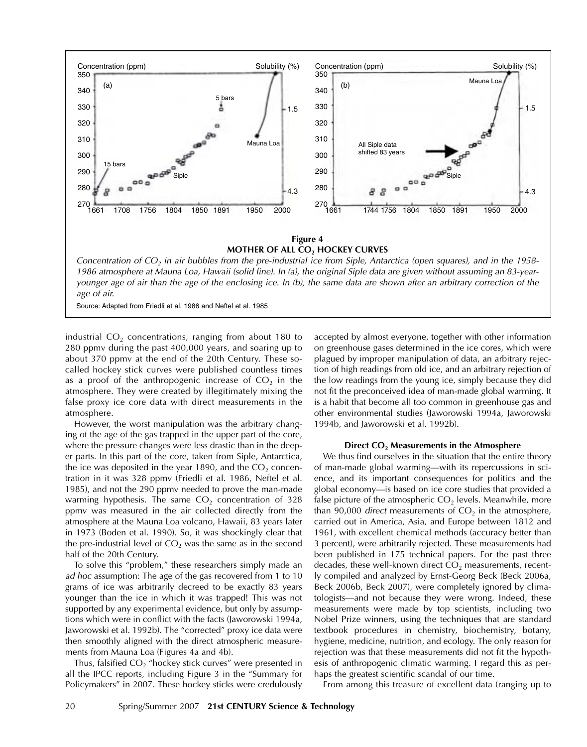

industrial  $CO<sub>2</sub>$  concentrations, ranging from about 180 to 280 ppmv during the past 400,000 years, and soaring up to about 370 ppmv at the end of the 20th Century. These socalled hockey stick curves were published countless times as a proof of the anthropogenic increase of  $CO<sub>2</sub>$  in the atmosphere. They were created by illegitimately mixing the false proxy ice core data with direct measurements in the atmosphere.

However, the worst manipulation was the arbitrary changing of the age of the gas trapped in the upper part of the core, where the pressure changes were less drastic than in the deeper parts. In this part of the core, taken from Siple, Antarctica, the ice was deposited in the year 1890, and the  $CO<sub>2</sub>$  concentration in it was 328 ppmv (Friedli et al. 1986, Neftel et al. 1985), and not the 290 ppmv needed to prove the man-made warming hypothesis. The same  $CO<sub>2</sub>$  concentration of 328 ppmv was measured in the air collected directly from the atmosphere at the Mauna Loa volcano, Hawaii, 83 years later in 1973 (Boden et al. 1990). So, it was shockingly clear that the pre-industrial level of  $CO<sub>2</sub>$  was the same as in the second half of the 20th Century.

To solve this "problem," these researchers simply made an ad hoc assumption: The age of the gas recovered from 1 to 10 grams of ice was arbitrarily decreed to be exactly 83 years younger than the ice in which it was trapped! This was not supported by any experimental evidence, but only by assumptions which were in conflict with the facts (Jaworowski 1994a, Jaworowski et al. 1992b). The "corrected" proxy ice data were then smoothly aligned with the direct atmospheric measurements from Mauna Loa (Figures 4a and 4b).

Thus, falsified  $CO<sub>2</sub>$  "hockey stick curves" were presented in all the IPCC reports, including Figure 3 in the "Summary for Policymakers" in 2007. These hockey sticks were credulously

accepted by almost everyone, together with other information on greenhouse gases determined in the ice cores, which were plagued by improper manipulation of data, an arbitrary rejection of high readings from old ice, and an arbitrary rejection of the low readings from the young ice, simply because they did not fit the preconceived idea of man-made global warming. It is a habit that become all too common in greenhouse gas and other environmental studies (Jaworowski 1994a, Jaworowski 1994b, and Jaworowski et al. 1992b).

#### **Direct CO2 Measurements in the Atmosphere**

We thus find ourselves in the situation that the entire theory of man-made global warming—with its repercussions in science, and its important consequences for politics and the global economy—is based on ice core studies that provided a false picture of the atmospheric  $CO<sub>2</sub>$  levels. Meanwhile, more than 90,000 *direct* measurements of  $CO<sub>2</sub>$  in the atmosphere, carried out in America, Asia, and Europe between 1812 and 1961, with excellent chemical methods (accuracy better than 3 percent), were arbitrarily rejected. These measurements had been published in 175 technical papers. For the past three decades, these well-known direct  $CO<sub>2</sub>$  measurements, recently compiled and analyzed by Ernst-Georg Beck (Beck 2006a, Beck 2006b, Beck 2007), were completely ignored by climatologists—and not because they were wrong. Indeed, these measurements were made by top scientists, including two Nobel Prize winners, using the techniques that are standard textbook procedures in chemistry, biochemistry, botany, hygiene, medicine, nutrition, and ecology. The only reason for rejection was that these measurements did not fit the hypothesis of anthropogenic climatic warming. I regard this as perhaps the greatest scientific scandal of our time.

From among this treasure of excellent data (ranging up to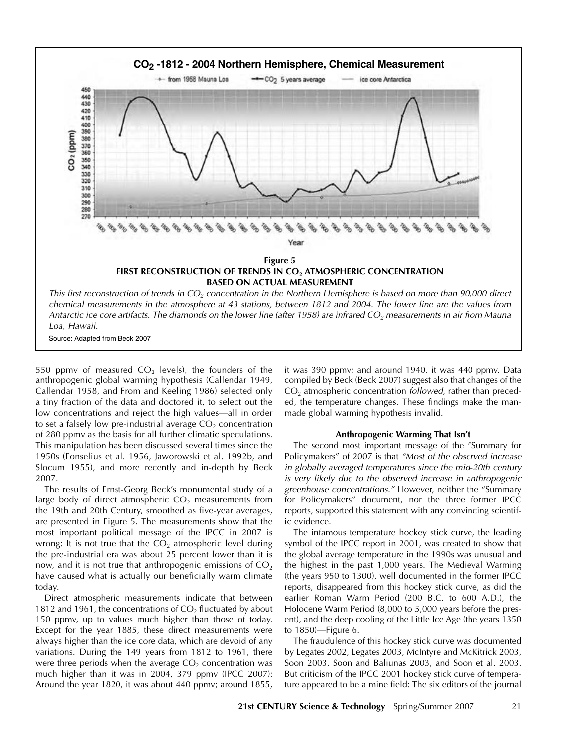

Source: Adapted from Beck 2007

550 ppmv of measured  $CO<sub>2</sub>$  levels), the founders of the anthropogenic global warming hypothesis (Callendar 1949, Callendar 1958, and From and Keeling 1986) selected only a tiny fraction of the data and doctored it, to select out the low concentrations and reject the high values—all in order to set a falsely low pre-industrial average  $CO<sub>2</sub>$  concentration of 280 ppmv as the basis for all further climatic speculations. This manipulation has been discussed several times since the 1950s (Fonselius et al. 1956, Jaworowski et al. 1992b, and Slocum 1955), and more recently and in-depth by Beck 2007.

The results of Ernst-Georg Beck's monumental study of a large body of direct atmospheric  $CO<sub>2</sub>$  measurements from the 19th and 20th Century, smoothed as five-year averages, are presented in Figure 5. The measurements show that the most important political message of the IPCC in 2007 is wrong: It is not true that the  $CO<sub>2</sub>$  atmospheric level during the pre-industrial era was about 25 percent lower than it is now, and it is not true that anthropogenic emissions of  $CO<sub>2</sub>$ have caused what is actually our beneficially warm climate today.

Direct atmospheric measurements indicate that between 1812 and 1961, the concentrations of  $CO<sub>2</sub>$  fluctuated by about 150 ppmv, up to values much higher than those of today. Except for the year 1885, these direct measurements were always higher than the ice core data, which are devoid of any variations. During the 149 years from 1812 to 1961, there were three periods when the average  $CO<sub>2</sub>$  concentration was much higher than it was in 2004, 379 ppmv (IPCC 2007): Around the year 1820, it was about 440 ppmv; around 1855, it was 390 ppmv; and around 1940, it was 440 ppmv. Data compiled by Beck (Beck 2007) suggest also that changes of the  $CO<sub>2</sub>$  atmospheric concentration *followed*, rather than preceded, the temperature changes. These findings make the manmade global warming hypothesis invalid.

#### **Anthropogenic Warming That Isn't**

The second most important message of the "Summary for Policymakers" of 2007 is that "Most of the observed increase in globally averaged temperatures since the mid-20th century is very likely due to the observed increase in anthropogenic greenhouse concentrations." However, neither the "Summary for Policymakers" document, nor the three former IPCC reports, supported this statement with any convincing scientific evidence.

The infamous temperature hockey stick curve, the leading symbol of the IPCC report in 2001, was created to show that the global average temperature in the 1990s was unusual and the highest in the past 1,000 years. The Medieval Warming (the years 950 to 1300), well documented in the former IPCC reports, disappeared from this hockey stick curve, as did the earlier Roman Warm Period (200 B.C. to 600 A.D.), the Holocene Warm Period (8,000 to 5,000 years before the present), and the deep cooling of the Little Ice Age (the years 1350 to 1850)—Figure 6.

The fraudulence of this hockey stick curve was documented by Legates 2002, Legates 2003, McIntyre and McKitrick 2003, Soon 2003, Soon and Baliunas 2003, and Soon et al. 2003. But criticism of the IPCC 2001 hockey stick curve of temperature appeared to be a mine field: The six editors of the journal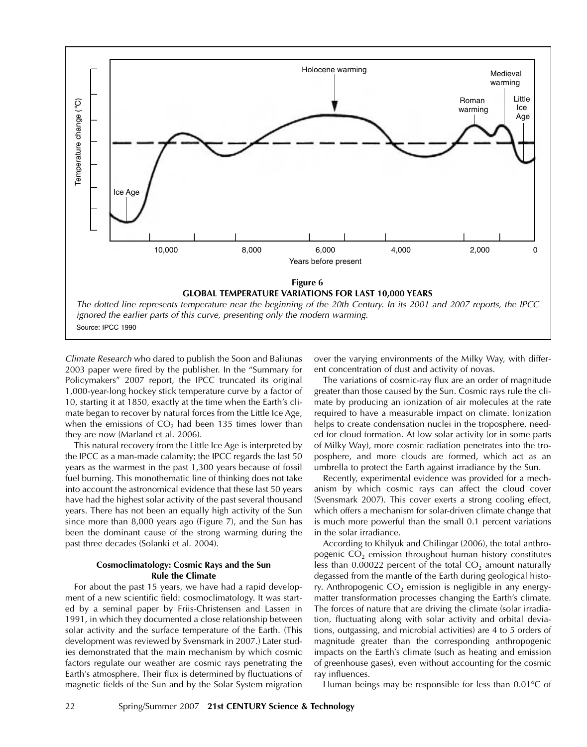

Climate Research who dared to publish the Soon and Baliunas 2003 paper were fired by the publisher. In the "Summary for Policymakers" 2007 report, the IPCC truncated its original 1,000-year-long hockey stick temperature curve by a factor of 10, starting it at 1850, exactly at the time when the Earth's climate began to recover by natural forces from the Little Ice Age, when the emissions of  $CO<sub>2</sub>$  had been 135 times lower than they are now (Marland et al. 2006).

This natural recovery from the Little Ice Age is interpreted by the IPCC as a man-made calamity; the IPCC regards the last 50 years as the warmest in the past 1,300 years because of fossil fuel burning. This monothematic line of thinking does not take into account the astronomical evidence that these last 50 years have had the highest solar activity of the past several thousand years. There has not been an equally high activity of the Sun since more than 8,000 years ago (Figure 7), and the Sun has been the dominant cause of the strong warming during the past three decades (Solanki et al. 2004).

# **Cosmoclimatology: Cosmic Rays and the Sun Rule the Climate**

For about the past 15 years, we have had a rapid development of a new scientific field: cosmoclimatology. It was started by a seminal paper by Friis-Christensen and Lassen in 1991, in which they documented a close relationship between solar activity and the surface temperature of the Earth. (This development was reviewed by Svensmark in 2007.) Later studies demonstrated that the main mechanism by which cosmic factors regulate our weather are cosmic rays penetrating the Earth's atmosphere. Their flux is determined by fluctuations of magnetic fields of the Sun and by the Solar System migration over the varying environments of the Milky Way, with different concentration of dust and activity of novas.

The variations of cosmic-ray flux are an order of magnitude greater than those caused by the Sun. Cosmic rays rule the climate by producing an ionization of air molecules at the rate required to have a measurable impact on climate. Ionization helps to create condensation nuclei in the troposphere, needed for cloud formation. At low solar activity (or in some parts of Milky Way), more cosmic radiation penetrates into the troposphere, and more clouds are formed, which act as an umbrella to protect the Earth against irradiance by the Sun.

Recently, experimental evidence was provided for a mechanism by which cosmic rays can affect the cloud cover (Svensmark 2007). This cover exerts a strong cooling effect, which offers a mechanism for solar-driven climate change that is much more powerful than the small 0.1 percent variations in the solar irradiance.

According to Khilyuk and Chilingar (2006), the total anthropogenic  $CO<sub>2</sub>$  emission throughout human history constitutes less than  $0.00022$  percent of the total  $CO<sub>2</sub>$  amount naturally degassed from the mantle of the Earth during geological history. Anthropogenic  $CO<sub>2</sub>$  emission is negligible in any energymatter transformation processes changing the Earth's climate. The forces of nature that are driving the climate (solar irradiation, fluctuating along with solar activity and orbital deviations, outgassing, and microbial activities) are 4 to 5 orders of magnitude greater than the corresponding anthropogenic impacts on the Earth's climate (such as heating and emission of greenhouse gases), even without accounting for the cosmic ray influences.

Human beings may be responsible for less than 0.01°C of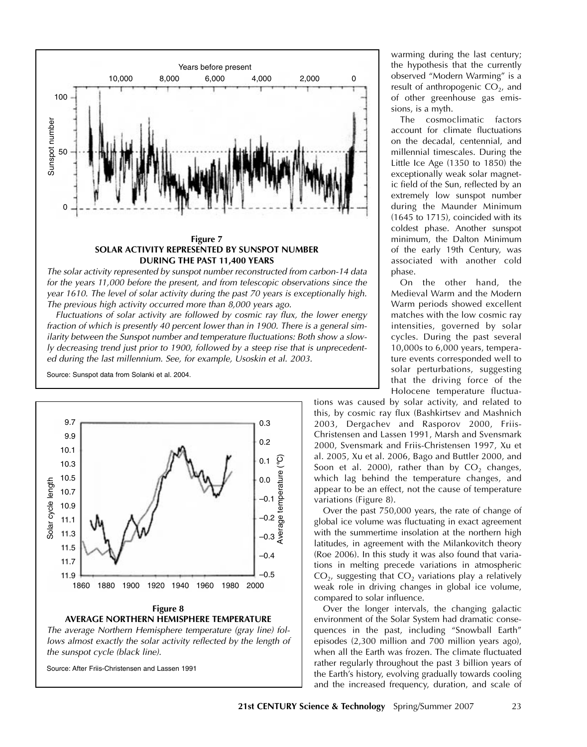

for the years 11,000 before the present, and from telescopic observations since the year 1610. The level of solar activity during the past 70 years is exceptionally high. The previous high activity occurred more than 8,000 years ago.

Fluctuations of solar activity are followed by cosmic ray flux, the lower energy fraction of which is presently 40 percent lower than in 1900. There is a general similarity between the Sunspot number and temperature fluctuations: Both show a slowly decreasing trend just prior to 1900, followed by a steep rise that is unprecedented during the last millennium. See, for example, Usoskin et al. 2003.



lows almost exactly the solar activity reflected by the length of the sunspot cycle (black line).

warming during the last century; the hypothesis that the currently observed "Modern Warming" is a result of anthropogenic  $CO<sub>2</sub>$ , and of other greenhouse gas emissions, is a myth.

The cosmoclimatic factors account for climate fluctuations on the decadal, centennial, and millennial timescales. During the Little Ice Age (1350 to 1850) the exceptionally weak solar magnetic field of the Sun, reflected by an extremely low sunspot number during the Maunder Minimum (1645 to 1715), coincided with its coldest phase. Another sunspot minimum, the Dalton Minimum of the early 19th Century, was associated with another cold phase.

On the other hand, the Medieval Warm and the Modern Warm periods showed excellent matches with the low cosmic ray intensities, governed by solar cycles. During the past several 10,000s to 6,000 years, temperature events corresponded well to solar perturbations, suggesting that the driving force of the Holocene temperature fluctua-

tions was caused by solar activity, and related to this, by cosmic ray flux (Bashkirtsev and Mashnich 2003, Dergachev and Rasporov 2000, Friis-Christensen and Lassen 1991, Marsh and Svensmark 2000, Svensmark and Friis-Christensen 1997, Xu et al. 2005, Xu et al. 2006, Bago and Buttler 2000, and Soon et al. 2000), rather than by  $CO<sub>2</sub>$  changes, which lag behind the temperature changes, and appear to be an effect, not the cause of temperature variations (Figure 8).

Over the past 750,000 years, the rate of change of global ice volume was fluctuating in exact agreement with the summertime insolation at the northern high latitudes, in agreement with the Milankovitch theory (Roe 2006). In this study it was also found that variations in melting precede variations in atmospheric  $CO<sub>2</sub>$ , suggesting that  $CO<sub>2</sub>$  variations play a relatively weak role in driving changes in global ice volume, compared to solar influence.

Over the longer intervals, the changing galactic environment of the Solar System had dramatic consequences in the past, including "Snowball Earth" episodes (2,300 million and 700 million years ago), when all the Earth was frozen. The climate fluctuated rather regularly throughout the past 3 billion years of the Earth's history, evolving gradually towards cooling and the increased frequency, duration, and scale of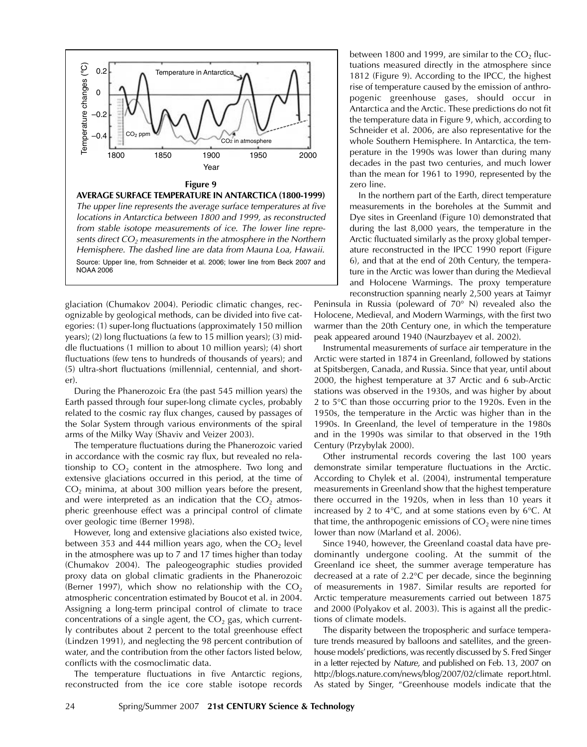

The upper line represents the average surface temperatures at five locations in Antarctica between 1800 and 1999, as reconstructed from stable isotope measurements of ice. The lower line represents direct  $CO<sub>2</sub>$  measurements in the atmosphere in the Northern Hemisphere. The dashed line are data from Mauna Loa, Hawaii. Source: Upper line, from Schneider et al. 2006; lower line from Beck 2007 and NOAA 2006

glaciation (Chumakov 2004). Periodic climatic changes, recognizable by geological methods, can be divided into five categories: (1) super-long fluctuations (approximately 150 million years); (2) long fluctuations (a few to 15 million years); (3) middle fluctuations (1 million to about 10 million years); (4) short fluctuations (few tens to hundreds of thousands of years); and (5) ultra-short fluctuations (millennial, centennial, and shorter).

During the Phanerozoic Era (the past 545 million years) the Earth passed through four super-long climate cycles, probably related to the cosmic ray flux changes, caused by passages of the Solar System through various environments of the spiral arms of the Milky Way (Shaviv and Veizer 2003).

The temperature fluctuations during the Phanerozoic varied in accordance with the cosmic ray flux, but revealed no relationship to  $CO<sub>2</sub>$  content in the atmosphere. Two long and extensive glaciations occurred in this period, at the time of  $CO<sub>2</sub>$  minima, at about 300 million years before the present, and were interpreted as an indication that the  $CO<sub>2</sub>$  atmospheric greenhouse effect was a principal control of climate over geologic time (Berner 1998).

However, long and extensive glaciations also existed twice, between 353 and 444 million years ago, when the  $CO<sub>2</sub>$  level in the atmosphere was up to 7 and 17 times higher than today (Chumakov 2004). The paleogeographic studies provided proxy data on global climatic gradients in the Phanerozoic (Berner 1997), which show no relationship with the  $CO<sub>2</sub>$ atmospheric concentration estimated by Boucot et al. in 2004. Assigning a long-term principal control of climate to trace concentrations of a single agent, the  $CO<sub>2</sub>$  gas, which currently contributes about 2 percent to the total greenhouse effect (Lindzen 1991), and neglecting the 98 percent contribution of water, and the contribution from the other factors listed below, conflicts with the cosmoclimatic data.

The temperature fluctuations in five Antarctic regions, reconstructed from the ice core stable isotope records

between 1800 and 1999, are similar to the  $CO<sub>2</sub>$  fluctuations measured directly in the atmosphere since 1812 (Figure 9). According to the IPCC, the highest rise of temperature caused by the emission of anthropogenic greenhouse gases, should occur in Antarctica and the Arctic. These predictions do not fit the temperature data in Figure 9, which, according to Schneider et al. 2006, are also representative for the whole Southern Hemisphere. In Antarctica, the temperature in the 1990s was lower than during many decades in the past two centuries, and much lower than the mean for 1961 to 1990, represented by the zero line.

In the northern part of the Earth, direct temperature measurements in the boreholes at the Summit and Dye sites in Greenland (Figure 10) demonstrated that during the last 8,000 years, the temperature in the Arctic fluctuated similarly as the proxy global temperature reconstructed in the IPCC 1990 report (Figure 6), and that at the end of 20th Century, the temperature in the Arctic was lower than during the Medieval and Holocene Warmings. The proxy temperature reconstruction spanning nearly 2,500 years at Taimyr

Peninsula in Russia (poleward of 70° N) revealed also the Holocene, Medieval, and Modern Warmings, with the first two warmer than the 20th Century one, in which the temperature peak appeared around 1940 (Naurzbayev et al. 2002).

Instrumental measurements of surface air temperature in the Arctic were started in 1874 in Greenland, followed by stations at Spitsbergen, Canada, and Russia. Since that year, until about 2000, the highest temperature at 37 Arctic and 6 sub-Arctic stations was observed in the 1930s, and was higher by about 2 to 5°C than those occurring prior to the 1920s. Even in the 1950s, the temperature in the Arctic was higher than in the 1990s. In Greenland, the level of temperature in the 1980s and in the 1990s was similar to that observed in the 19th Century (Przybylak 2000).

Other instrumental records covering the last 100 years demonstrate similar temperature fluctuations in the Arctic. According to Chylek et al. (2004), instrumental temperature measurements in Greenland show that the highest temperature there occurred in the 1920s, when in less than 10 years it increased by 2 to 4°C, and at some stations even by 6°C. At that time, the anthropogenic emissions of  $CO<sub>2</sub>$  were nine times lower than now (Marland et al. 2006).

Since 1940, however, the Greenland coastal data have predominantly undergone cooling. At the summit of the Greenland ice sheet, the summer average temperature has decreased at a rate of 2.2°C per decade, since the beginning of measurements in 1987. Similar results are reported for Arctic temperature measurements carried out between 1875 and 2000 (Polyakov et al. 2003). This is against all the predictions of climate models.

The disparity between the tropospheric and surface temperature trends measured by balloons and satellites, and the greenhouse models' predictions, was recently discussed by S. Fred Singer in a letter rejected by Nature, and published on Feb. 13, 2007 on http://blogs.nature.com/news/blog/2007/02/climate report.html. As stated by Singer, "Greenhouse models indicate that the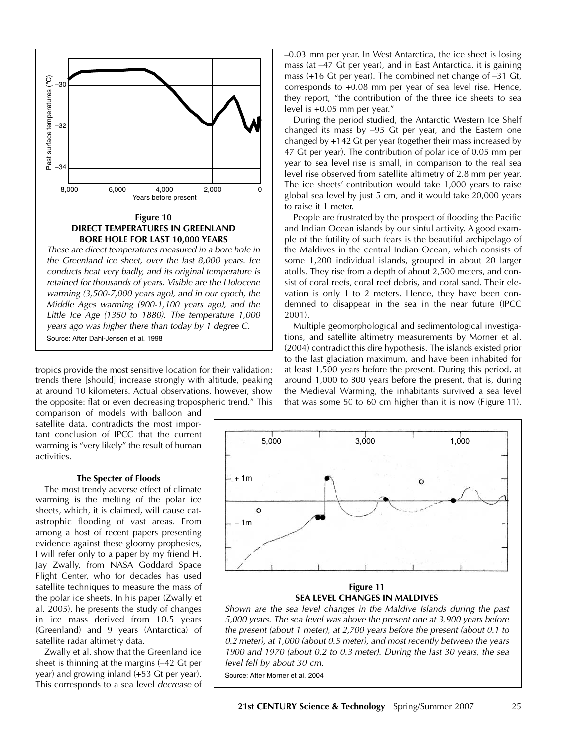

**DIRECT TEMPERATURES IN GREENLAND BORE HOLE FOR LAST 10,000 YEARS**

These are direct temperatures measured in a bore hole in the Greenland ice sheet, over the last 8,000 years. Ice conducts heat very badly, and its original temperature is retained for thousands of years. Visible are the Holocene warming (3,500-7,000 years ago), and in our epoch, the Middle Ages warming (900-1,100 years ago), and the Little Ice Age (1350 to 1880). The temperature 1,000 years ago was higher there than today by 1 degree C. Source: After Dahl-Jensen et al. 1998

tropics provide the most sensitive location for their validation: trends there [should] increase strongly with altitude, peaking at around 10 kilometers. Actual observations, however, show the opposite: flat or even decreasing tropospheric trend." This

comparison of models with balloon and satellite data, contradicts the most important conclusion of IPCC that the current warming is "very likely" the result of human activities.

## **The Specter of Floods**

The most trendy adverse effect of climate warming is the melting of the polar ice sheets, which, it is claimed, will cause catastrophic flooding of vast areas. From among a host of recent papers presenting evidence against these gloomy prophesies, I will refer only to a paper by my friend H. Jay Zwally, from NASA Goddard Space Flight Center, who for decades has used satellite techniques to measure the mass of the polar ice sheets. In his paper (Zwally et al. 2005), he presents the study of changes in ice mass derived from 10.5 years (Greenland) and 9 years (Antarctica) of satellite radar altimetry data.

Zwally et al. show that the Greenland ice sheet is thinning at the margins (–42 Gt per year) and growing inland (+53 Gt per year). This corresponds to a sea level decrease of –0.03 mm per year. In West Antarctica, the ice sheet is losing mass (at –47 Gt per year), and in East Antarctica, it is gaining mass (+16 Gt per year). The combined net change of –31 Gt, corresponds to +0.08 mm per year of sea level rise. Hence, they report, "the contribution of the three ice sheets to sea level is +0.05 mm per year."

During the period studied, the Antarctic Western Ice Shelf changed its mass by –95 Gt per year, and the Eastern one changed by +142 Gt per year (together their mass increased by 47 Gt per year). The contribution of polar ice of 0.05 mm per year to sea level rise is small, in comparison to the real sea level rise observed from satellite altimetry of 2.8 mm per year. The ice sheets' contribution would take 1,000 years to raise global sea level by just 5 cm, and it would take 20,000 years to raise it 1 meter.

People are frustrated by the prospect of flooding the Pacific and Indian Ocean islands by our sinful activity. A good example of the futility of such fears is the beautiful archipelago of the Maldives in the central Indian Ocean, which consists of some 1,200 individual islands, grouped in about 20 larger atolls. They rise from a depth of about 2,500 meters, and consist of coral reefs, coral reef debris, and coral sand. Their elevation is only 1 to 2 meters. Hence, they have been condemned to disappear in the sea in the near future (IPCC 2001).

Multiple geomorphological and sedimentological investigations, and satellite altimetry measurements by Morner et al. (2004) contradict this dire hypothesis. The islands existed prior to the last glaciation maximum, and have been inhabited for at least 1,500 years before the present. During this period, at around 1,000 to 800 years before the present, that is, during the Medieval Warming, the inhabitants survived a sea level that was some 50 to 60 cm higher than it is now (Figure 11).



**Figure 11 SEA LEVEL CHANGES IN MALDIVES**

Shown are the sea level changes in the Maldive Islands during the past 5,000 years. The sea level was above the present one at 3,900 years before the present (about 1 meter), at 2,700 years before the present (about 0.1 to 0.2 meter), at 1,000 (about 0.5 meter), and most recently between the years 1900 and 1970 (about 0.2 to 0.3 meter). During the last 30 years, the sea level fell by about 30 cm.

Source: After Morner et al. 2004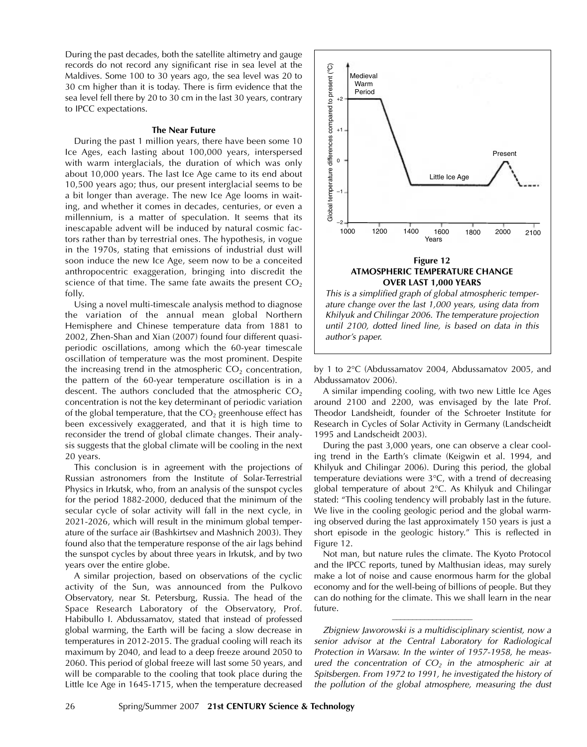During the past decades, both the satellite altimetry and gauge records do not record any significant rise in sea level at the Maldives. Some 100 to 30 years ago, the sea level was 20 to 30 cm higher than it is today. There is firm evidence that the sea level fell there by 20 to 30 cm in the last 30 years, contrary to IPCC expectations.

## **The Near Future**

During the past 1 million years, there have been some 10 Ice Ages, each lasting about 100,000 years, interspersed with warm interglacials, the duration of which was only about 10,000 years. The last Ice Age came to its end about 10,500 years ago; thus, our present interglacial seems to be a bit longer than average. The new Ice Age looms in waiting, and whether it comes in decades, centuries, or even a millennium, is a matter of speculation. It seems that its inescapable advent will be induced by natural cosmic factors rather than by terrestrial ones. The hypothesis, in vogue in the 1970s, stating that emissions of industrial dust will soon induce the new Ice Age, seem now to be a conceited anthropocentric exaggeration, bringing into discredit the science of that time. The same fate awaits the present  $CO<sub>2</sub>$ folly.

Using a novel multi-timescale analysis method to diagnose the variation of the annual mean global Northern Hemisphere and Chinese temperature data from 1881 to 2002, Zhen-Shan and Xian (2007) found four different quasiperiodic oscillations, among which the 60-year timescale oscillation of temperature was the most prominent. Despite the increasing trend in the atmospheric  $CO<sub>2</sub>$  concentration, the pattern of the 60-year temperature oscillation is in a descent. The authors concluded that the atmospheric  $CO<sub>2</sub>$ concentration is not the key determinant of periodic variation of the global temperature, that the  $CO<sub>2</sub>$  greenhouse effect has been excessively exaggerated, and that it is high time to reconsider the trend of global climate changes. Their analysis suggests that the global climate will be cooling in the next 20 years.

This conclusion is in agreement with the projections of Russian astronomers from the Institute of Solar-Terrestrial Physics in Irkutsk, who, from an analysis of the sunspot cycles for the period 1882-2000, deduced that the minimum of the secular cycle of solar activity will fall in the next cycle, in 2021-2026, which will result in the minimum global temperature of the surface air (Bashkirtsev and Mashnich 2003). They found also that the temperature response of the air lags behind the sunspot cycles by about three years in Irkutsk, and by two years over the entire globe.

A similar projection, based on observations of the cyclic activity of the Sun, was announced from the Pulkovo Observatory, near St. Petersburg, Russia. The head of the Space Research Laboratory of the Observatory, Prof. Habibullo I. Abdussamatov, stated that instead of professed global warming, the Earth will be facing a slow decrease in temperatures in 2012-2015. The gradual cooling will reach its maximum by 2040, and lead to a deep freeze around 2050 to 2060. This period of global freeze will last some 50 years, and will be comparable to the cooling that took place during the Little Ice Age in 1645-1715, when the temperature decreased



ature change over the last 1,000 years, using data from Khilyuk and Chilingar 2006. The temperature projection until 2100, dotted lined line, is based on data in this

by 1 to 2°C (Abdussamatov 2004, Abdussamatov 2005, and Abdussamatov 2006).

A similar impending cooling, with two new Little Ice Ages around 2100 and 2200, was envisaged by the late Prof. Theodor Landsheidt, founder of the Schroeter Institute for Research in Cycles of Solar Activity in Germany (Landscheidt 1995 and Landscheidt 2003).

During the past 3,000 years, one can observe a clear cooling trend in the Earth's climate (Keigwin et al. 1994, and Khilyuk and Chilingar 2006). During this period, the global temperature deviations were 3°C, with a trend of decreasing global temperature of about 2°C. As Khilyuk and Chilingar stated: "This cooling tendency will probably last in the future. We live in the cooling geologic period and the global warming observed during the last approximately 150 years is just a short episode in the geologic history." This is reflected in Figure 12.

Not man, but nature rules the climate. The Kyoto Protocol and the IPCC reports, tuned by Malthusian ideas, may surely make a lot of noise and cause enormous harm for the global economy and for the well-being of billions of people. But they can do nothing for the climate. This we shall learn in the near future.

Zbigniew Jaworowski is a multidisciplinary scientist, now a senior advisor at the Central Laboratory for Radiological Protection in Warsaw. In the winter of 1957-1958, he measured the concentration of  $CO<sub>2</sub>$  in the atmospheric air at Spitsbergen. From 1972 to 1991, he investigated the history of the pollution of the global atmosphere, measuring the dust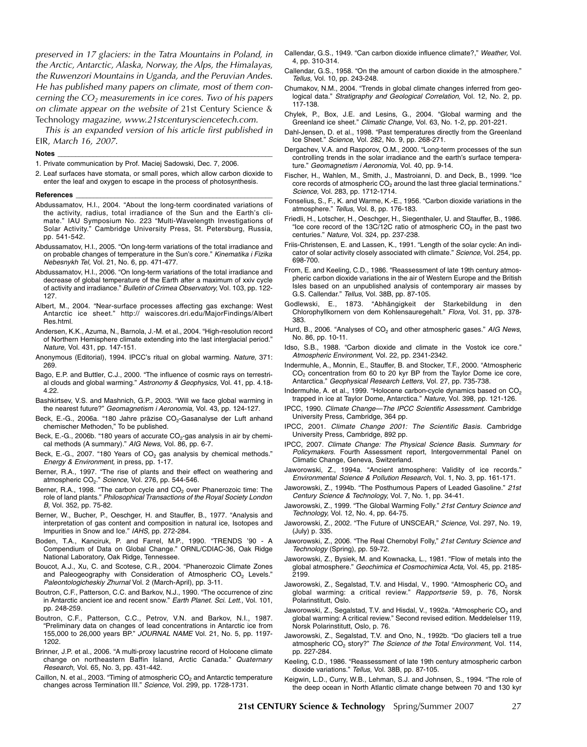preserved in 17 glaciers: in the Tatra Mountains in Poland, in the Arctic, Antarctic, Alaska, Norway, the Alps, the Himalayas, the Ruwenzori Mountains in Uganda, and the Peruvian Andes. He has published many papers on climate, most of them concerning the  $CO<sub>2</sub>$  measurements in ice cores. Two of his papers on climate appear on the website of 21st Century Science & Technology magazine, www.21stcenturysciencetech.com.

This is an expanded version of his article first published in EIR, March 16, 2007.

#### **Notes \_\_\_\_\_\_\_\_\_\_\_\_\_\_\_\_\_\_\_\_\_\_\_\_\_\_\_\_\_\_\_\_\_\_\_\_\_\_\_\_\_\_\_\_\_\_\_\_\_\_\_\_\_\_\_\_\_\_\_\_\_**

- 1. Private communication by Prof. Maciej Sadowski, Dec. 7, 2006.
- 2. Leaf surfaces have stomata, or small pores, which allow carbon dioxide to enter the leaf and oxygen to escape in the process of photosynthesis.

#### $Reference$

- Abdussamatov, H.I., 2004. "About the long-term coordinated variations of the activity, radius, total irradiance of the Sun and the Earth's climate." IAU Symposium No. 223 "Multi-Wavelength Investigations of Solar Activity." Cambridge University Press, St. Petersburg, Russia, pp. 541-542.
- Abdussamatov, H.I., 2005. "On long-term variations of the total irradiance and on probable changes of temperature in the Sun's core." Kinematika i Fizika Nebesnykh Tel, Vol. 21, No. 6, pp. 471-477.
- Abdussamatov, H.I., 2006. "On long-term variations of the total irradiance and decrease of global temperature of the Earth after a maximum of xxiv cycle of activity and irradiance." Bulletin of Crimea Observatory, Vol. 103, pp. 122- 127.
- Albert, M., 2004. "Near-surface processes affecting gas exchange: West Antarctic ice sheet." http:// waiscores.dri.edu/MajorFindings/Albert Res.html.
- Andersen, K.K., Azuma, N., Barnola, J.-M. et al., 2004. "High-resolution record of Northern Hemisphere climate extending into the last interglacial period." Nature, Vol. 431, pp. 147-151.
- Anonymous (Editorial), 1994. IPCC's ritual on global warming. Nature, 371: 269.
- Bago, E.P. and Buttler, C.J., 2000. "The influence of cosmic rays on terrestrial clouds and global warming." Astronomy & Geophysics, Vol. 41, pp. 4.18- 4.22.
- Bashkirtsev, V.S. and Mashnich, G.P., 2003. "Will we face global warming in the nearest future?" Geomagnetism i Aeronomia, Vol. 43, pp. 124-127.
- Beck, E.-G., 2006a. "180 Jahre präzise CO<sub>2</sub>-Gasanalyse der Luft anhand chemischer Methoden," To be published.
- Beck, E.-G., 2006b. "180 years of accurate  $CO<sub>2</sub>$ -gas analysis in air by chemical methods (A summary)." AIG News, Vol. 86, pp. 6-7.
- Beck, E.-G., 2007. "180 Years of  $CO<sub>2</sub>$  gas analysis by chemical methods." Energy & Environment, in press, pp. 1-17.
- Berner, R.A., 1997. "The rise of plants and their effect on weathering and atmospheric  $CO_2$ ." Science, Vol. 276, pp. 544-546.
- Berner, R.A., 1998. "The carbon cycle and  $CO<sub>2</sub>$  over Phanerozoic time: The role of land plants." Philosophical Transactions of the Royal Society London B, Vol. 352, pp. 75-82.
- Berner, W., Bucher, P., Oeschger, H. and Stauffer, B., 1977. "Analysis and interpretation of gas content and composition in natural ice, Isotopes and Impurities in Snow and Ice." IAHS, pp. 272-284.
- Boden, T.A., Kanciruk, P. and Farrel, M.P., 1990. "TRENDS '90 A Compendium of Data on Global Change." ORNL/CDIAC-36, Oak Ridge National Laboratory, Oak Ridge, Tennessee.
- Boucot, A.J., Xu, C. and Scotese, C.R., 2004. "Phanerozoic Climate Zones and Paleogeography with Consideration of Atmospheric  $CO<sub>2</sub>$  Levels." Paleontologicheskiy Zhurnal Vol. 2 (March-April), pp. 3-11.
- Boutron, C.F., Patterson, C.C. and Barkov, N.J., 1990. "The occurrence of zinc in Antarctic ancient ice and recent snow." Earth Planet. Sci. Lett., Vol. 101, pp. 248-259.
- Boutron, C.F., Patterson, C.C., Petrov, V.N. and Barkov, N.I., 1987. "Preliminary data on changes of lead concentrations in Antarctic ice from 155,000 to 26,000 years BP." JOURNAL NAME Vol. 21, No. 5, pp. 1197- 1202.
- Brinner, J.P. et al., 2006. "A multi-proxy lacustrine record of Holocene climate change on northeastern Baffin Island, Arctic Canada." Quaternary Research, Vol. 65, No. 3, pp. 431-442.
- Caillon, N. et al., 2003. "Timing of atmospheric  $CO<sub>2</sub>$  and Antarctic temperature changes across Termination III." Science, Vol. 299, pp. 1728-1731.
- Callendar, G.S., 1949. "Can carbon dioxide influence climate?," Weather, Vol. 4, pp. 310-314.
- Callendar, G.S., 1958. "On the amount of carbon dioxide in the atmosphere." Tellus, Vol. 10, pp. 243-248.
- Chumakov, N.M., 2004. "Trends in global climate changes inferred from geological data." Stratigraphy and Geological Correlation, Vol. 12, No. 2, pp. 117-138.
- Chylek, P., Box, J.E. and Lesins, G., 2004. "Global warming and the Greenland ice sheet." Climatic Change, Vol. 63, No. 1-2, pp. 201-221.
- Dahl-Jensen, D. et al., 1998. "Past temperatures directly from the Greenland Ice Sheet." Science, Vol. 282, No. 9, pp. 268-271.
- Dergachev, V.A. and Rasporov, O.M., 2000. "Long-term processes of the sun controlling trends in the solar irradiance and the earth's surface temperature." Geomagnetism i Aeronomia, Vol. 40, pp. 9-14.
- Fischer, H., Wahlen, M., Smith, J., Mastroianni, D. and Deck, B., 1999. "Ice core records of atmospheric  $CO<sub>2</sub>$  around the last three glacial terminations." Science, Vol. 283, pp. 1712-1714.
- Fonselius, S., F., K. and Warme, K.-E., 1956. "Carbon dioxide variations in the atmosphere." Tellus, Vol. 8, pp. 176-183.
- Friedli, H., Lotscher, H., Oeschger, H., Siegenthaler, U. and Stauffer, B., 1986. "Ice core record of the 13C/12C ratio of atmospheric CO<sub>2</sub> in the past two centuries." Nature, Vol. 324, pp. 237-238.
- Friis-Christensen, E. and Lassen, K., 1991. "Length of the solar cycle: An indicator of solar activity closely associated with climate." Science, Vol. 254, pp. 698-700.
- From, E. and Keeling, C.D., 1986. "Reassessment of late 19th century atmospheric carbon dioxide variations in the air of Western Europe and the British Isles based on an unpublished analysis of contemporary air masses by G.S. Callendar." Tellus, Vol. 38B, pp. 87-105.
- Godlewski, E., 1873. "Abhängigkeit der Starkebildung in den Chlorophyllkornern von dem Kohlensauregehalt." Flora, Vol. 31, pp. 378-383.
- Hurd, B., 2006. "Analyses of  $CO<sub>2</sub>$  and other atmospheric gases." AIG News, No. 86, pp. 10-11.
- Idso, S.B., 1988. "Carbon dioxide and climate in the Vostok ice core." Atmospheric Environment, Vol. 22, pp. 2341-2342.
- Indermuhle, A., Monnin, E., Stauffer, B. and Stocker, T.F., 2000. "Atmospheric CO<sub>2</sub> concentration from 60 to 20 kyr BP from the Taylor Dome ice core, Antarctica." Geophysical Research Letters, Vol. 27, pp. 735-738.
- Indermuhle, A. et al., 1999. "Holocene carbon-cycle dynamics based on CO<sub>2</sub> trapped in ice at Taylor Dome, Antarctica." Nature, Vol. 398, pp. 121-126.
- IPCC, 1990. Climate Change—The IPCC Scientific Assessment. Cambridge University Press, Cambridge, 364 pp.
- IPCC, 2001. Climate Change 2001: The Scientific Basis. Cambridge University Press, Cambridge, 892 pp.
- IPCC, 2007. Climate Change: The Physical Science Basis. Summary for Policymakers. Fourth Assessment report, Intergovernmental Panel on Climatic Change, Geneva, Switzerland.
- Jaworowski, Z., 1994a. "Ancient atmosphere: Validity of ice records." Environmental Science & Pollution Research, Vol. 1, No. 3, pp. 161-171.
- Jaworowski, Z., 1994b. "The Posthumous Papers of Leaded Gasoline." 21st Century Science & Technology, Vol. 7, No. 1, pp. 34-41.
- Jaworowski, Z., 1999. "The Global Warming Folly." 21st Century Science and Technology, Vol. 12, No. 4, pp. 64-75.
- Jaworowski, Z., 2002. "The Future of UNSCEAR," Science, Vol. 297, No. 19, (July) p. 335.
- Jaworowski, Z., 2006. "The Real Chernobyl Folly," 21st Century Science and Technology (Spring), pp. 59-72.
- Jaworowski, Z., Bysiek, M. and Kownacka, L., 1981. "Flow of metals into the global atmosphere." Geochimica et Cosmochimica Acta, Vol. 45, pp. 2185- 2199.
- Jaworowski, Z., Segalstad, T.V. and Hisdal, V., 1990. "Atmospheric CO<sub>2</sub> and global warming: a critical review." Rapportserie 59, p. 76, Norsk Polarinstitutt, Oslo.
- Jaworowski, Z., Segalstad, T.V. and Hisdal, V., 1992a. "Atmospheric CO<sub>2</sub> and global warming: A critical review." Second revised edition. Meddelelser 119, Norsk Polarinstitutt, Oslo, p. 76.
- Jaworowski, Z., Segalstad, T.V. and Ono, N., 1992b. "Do glaciers tell a true atmospheric  $CO<sub>2</sub>$  story?" The Science of the Total Environment, Vol. 114, pp. 227-284.
- Keeling, C.D., 1986. "Reassessment of late 19th century atmospheric carbon dioxide variations." Tellus, Vol. 38B, pp. 87-105.
- Keigwin, L.D., Curry, W.B., Lehman, S.J. and Johnsen, S., 1994. "The role of the deep ocean in North Atlantic climate change between 70 and 130 kyr